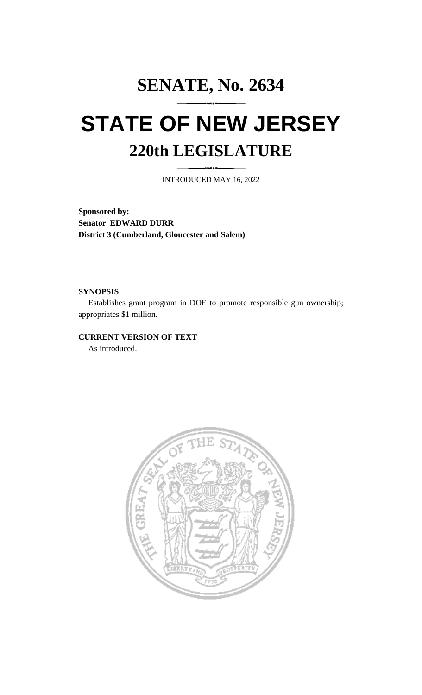# **SENATE, No. 2634 STATE OF NEW JERSEY 220th LEGISLATURE**

INTRODUCED MAY 16, 2022

**Sponsored by: Senator EDWARD DURR District 3 (Cumberland, Gloucester and Salem)**

#### **SYNOPSIS**

Establishes grant program in DOE to promote responsible gun ownership; appropriates \$1 million.

### **CURRENT VERSION OF TEXT**

As introduced.

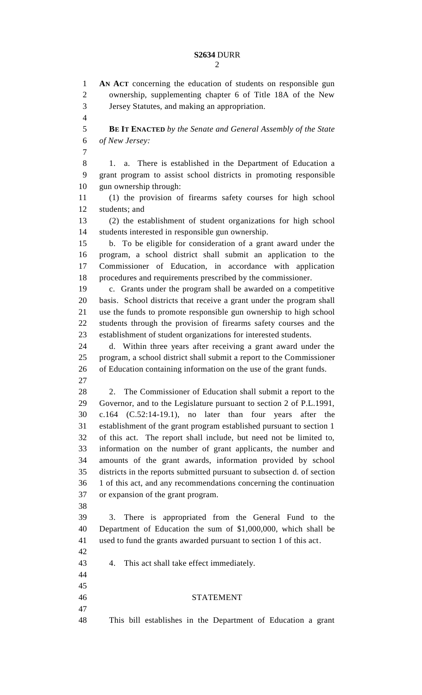## **S2634** DURR

 **AN ACT** concerning the education of students on responsible gun ownership, supplementing chapter 6 of Title 18A of the New Jersey Statutes, and making an appropriation. **BE IT ENACTED** *by the Senate and General Assembly of the State of New Jersey:* 1. a. There is established in the Department of Education a grant program to assist school districts in promoting responsible gun ownership through: (1) the provision of firearms safety courses for high school students; and (2) the establishment of student organizations for high school students interested in responsible gun ownership. b. To be eligible for consideration of a grant award under the program, a school district shall submit an application to the Commissioner of Education, in accordance with application procedures and requirements prescribed by the commissioner. c. Grants under the program shall be awarded on a competitive basis. School districts that receive a grant under the program shall use the funds to promote responsible gun ownership to high school students through the provision of firearms safety courses and the establishment of student organizations for interested students. d. Within three years after receiving a grant award under the program, a school district shall submit a report to the Commissioner of Education containing information on the use of the grant funds. 28 2. The Commissioner of Education shall submit a report to the Governor, and to the Legislature pursuant to section 2 of P.L.1991, c.164 (C.52:14-19.1), no later than four years after the establishment of the grant program established pursuant to section 1 of this act. The report shall include, but need not be limited to, information on the number of grant applicants, the number and amounts of the grant awards, information provided by school districts in the reports submitted pursuant to subsection d. of section 1 of this act, and any recommendations concerning the continuation or expansion of the grant program. 3. There is appropriated from the General Fund to the Department of Education the sum of \$1,000,000, which shall be used to fund the grants awarded pursuant to section 1 of this act. 4. This act shall take effect immediately. STATEMENT This bill establishes in the Department of Education a grant